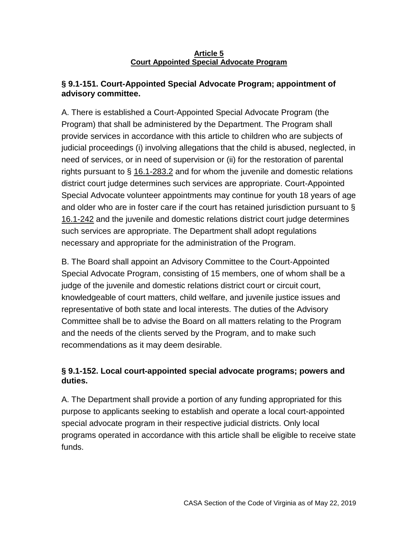#### **Article 5 Court Appointed Special Advocate Program**

## **§ 9.1-151. Court-Appointed Special Advocate Program; appointment of advisory committee.**

A. There is established a Court-Appointed Special Advocate Program (the Program) that shall be administered by the Department. The Program shall provide services in accordance with this article to children who are subjects of judicial proceedings (i) involving allegations that the child is abused, neglected, in need of services, or in need of supervision or (ii) for the restoration of parental rights pursuant to  $\S$  [16.1-283.2](http://law.lis.virginia.gov/vacode/16.1-283.2/) and for whom the juvenile and domestic relations district court judge determines such services are appropriate. Court-Appointed Special Advocate volunteer appointments may continue for youth 18 years of age and older who are in foster care if the court has retained jurisdiction pursuant to § [16.1-242](http://law.lis.virginia.gov/vacode/16.1-242/) and the juvenile and domestic relations district court judge determines such services are appropriate. The Department shall adopt regulations necessary and appropriate for the administration of the Program.

B. The Board shall appoint an Advisory Committee to the Court-Appointed Special Advocate Program, consisting of 15 members, one of whom shall be a judge of the juvenile and domestic relations district court or circuit court, knowledgeable of court matters, child welfare, and juvenile justice issues and representative of both state and local interests. The duties of the Advisory Committee shall be to advise the Board on all matters relating to the Program and the needs of the clients served by the Program, and to make such recommendations as it may deem desirable.

# **§ 9.1-152. Local court-appointed special advocate programs; powers and duties.**

A. The Department shall provide a portion of any funding appropriated for this purpose to applicants seeking to establish and operate a local court-appointed special advocate program in their respective judicial districts. Only local programs operated in accordance with this article shall be eligible to receive state funds.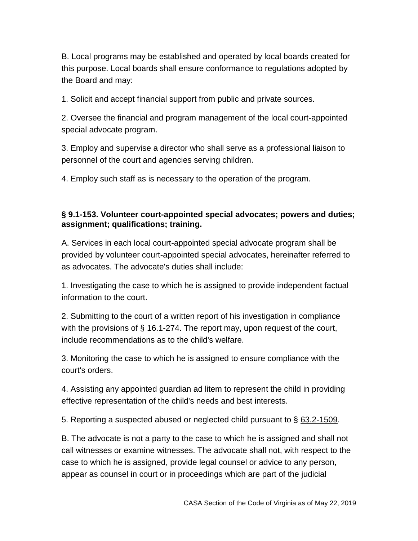B. Local programs may be established and operated by local boards created for this purpose. Local boards shall ensure conformance to regulations adopted by the Board and may:

1. Solicit and accept financial support from public and private sources.

2. Oversee the financial and program management of the local court-appointed special advocate program.

3. Employ and supervise a director who shall serve as a professional liaison to personnel of the court and agencies serving children.

4. Employ such staff as is necessary to the operation of the program.

### **§ 9.1-153. Volunteer court-appointed special advocates; powers and duties; assignment; qualifications; training.**

A. Services in each local court-appointed special advocate program shall be provided by volunteer court-appointed special advocates, hereinafter referred to as advocates. The advocate's duties shall include:

1. Investigating the case to which he is assigned to provide independent factual information to the court.

2. Submitting to the court of a written report of his investigation in compliance with the provisions of § [16.1-274.](http://law.lis.virginia.gov/vacode/16.1-274/) The report may, upon request of the court, include recommendations as to the child's welfare.

3. Monitoring the case to which he is assigned to ensure compliance with the court's orders.

4. Assisting any appointed guardian ad litem to represent the child in providing effective representation of the child's needs and best interests.

5. Reporting a suspected abused or neglected child pursuant to  $\S$  [63.2-1509.](http://law.lis.virginia.gov/vacode/63.2-1509/)

B. The advocate is not a party to the case to which he is assigned and shall not call witnesses or examine witnesses. The advocate shall not, with respect to the case to which he is assigned, provide legal counsel or advice to any person, appear as counsel in court or in proceedings which are part of the judicial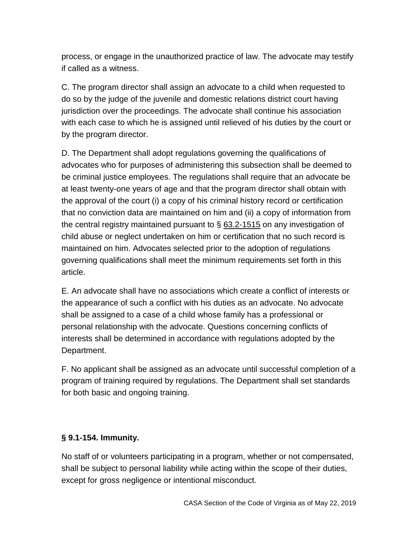process, or engage in the unauthorized practice of law. The advocate may testify if called as a witness.

C. The program director shall assign an advocate to a child when requested to do so by the judge of the juvenile and domestic relations district court having jurisdiction over the proceedings. The advocate shall continue his association with each case to which he is assigned until relieved of his duties by the court or by the program director.

D. The Department shall adopt regulations governing the qualifications of advocates who for purposes of administering this subsection shall be deemed to be criminal justice employees. The regulations shall require that an advocate be at least twenty-one years of age and that the program director shall obtain with the approval of the court (i) a copy of his criminal history record or certification that no conviction data are maintained on him and (ii) a copy of information from the central registry maintained pursuant to  $\S$  [63.2-1515](http://law.lis.virginia.gov/vacode/63.2-1515/) on any investigation of child abuse or neglect undertaken on him or certification that no such record is maintained on him. Advocates selected prior to the adoption of regulations governing qualifications shall meet the minimum requirements set forth in this article.

E. An advocate shall have no associations which create a conflict of interests or the appearance of such a conflict with his duties as an advocate. No advocate shall be assigned to a case of a child whose family has a professional or personal relationship with the advocate. Questions concerning conflicts of interests shall be determined in accordance with regulations adopted by the Department.

F. No applicant shall be assigned as an advocate until successful completion of a program of training required by regulations. The Department shall set standards for both basic and ongoing training.

### **§ 9.1-154. Immunity.**

No staff of or volunteers participating in a program, whether or not compensated, shall be subject to personal liability while acting within the scope of their duties, except for gross negligence or intentional misconduct.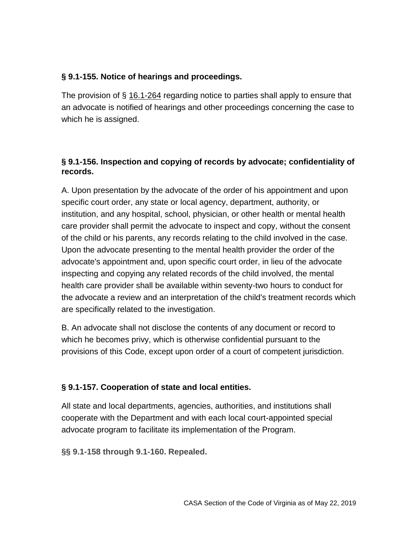## **§ 9.1-155. Notice of hearings and proceedings.**

The provision of § [16.1-264](http://law.lis.virginia.gov/vacode/16.1-264/) regarding notice to parties shall apply to ensure that an advocate is notified of hearings and other proceedings concerning the case to which he is assigned.

# **§ 9.1-156. Inspection and copying of records by advocate; confidentiality of records.**

A. Upon presentation by the advocate of the order of his appointment and upon specific court order, any state or local agency, department, authority, or institution, and any hospital, school, physician, or other health or mental health care provider shall permit the advocate to inspect and copy, without the consent of the child or his parents, any records relating to the child involved in the case. Upon the advocate presenting to the mental health provider the order of the advocate's appointment and, upon specific court order, in lieu of the advocate inspecting and copying any related records of the child involved, the mental health care provider shall be available within seventy-two hours to conduct for the advocate a review and an interpretation of the child's treatment records which are specifically related to the investigation.

B. An advocate shall not disclose the contents of any document or record to which he becomes privy, which is otherwise confidential pursuant to the provisions of this Code, except upon order of a court of competent jurisdiction.

### **§ 9.1-157. Cooperation of state and local entities.**

All state and local departments, agencies, authorities, and institutions shall cooperate with the Department and with each local court-appointed special advocate program to facilitate its implementation of the Program.

**§§ 9.1-158 through 9.1-160. Repealed.**